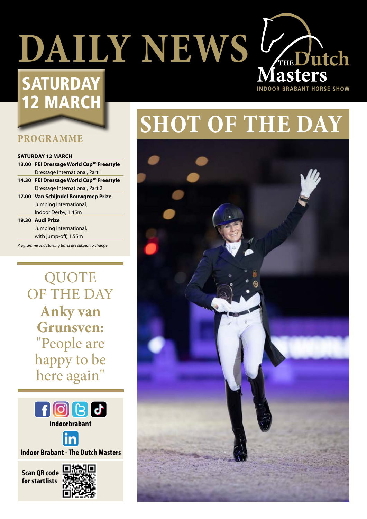# **DAILY NEWS V<sub>THE</sub> Dutch**

# **SATURDAY** 12 MARCH

#### **PROGRAMME**

#### **SATURDAY 12 MARCH**

**13.00 FEI Dressage World Cup™ Freestyle** Dressage International, Part 1 **14.30 FEI Dressage World Cup™ Freestyle** Dressage International, Part 2 **17.00 Van Schijndel Bouwgroep Prize** Jumping International, Indoor Derby, 1.45m

**19.30 Audi Prize** Jumping International, with jump-off, 1.55m

*Programme and starting times are subject to change*

**QUOTE** OF THE DAY **Anky van Grunsven:** "People are happy to be here again"



**indoorbrabant**



**Indoor Brabant - The Dutch Masters**

**Scan QR code for startlists**



# **SHOT OF THE DAY**

**INDOOR BRABANT HORSE SHOW** 

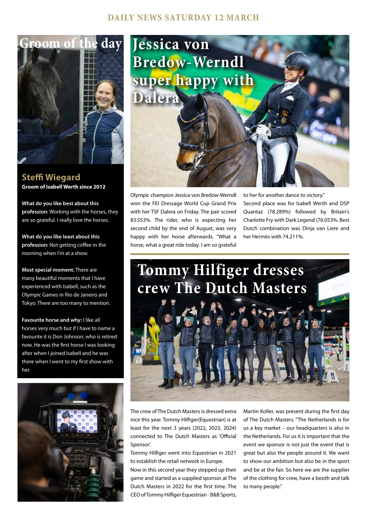#### **DAILY NEWS SATURDAY 12 MARCH**



**Steffi Wiegard Groom of Isabell Werth since 2012**

**What do you like best about this profession:** Working with the horses, they are so grateful. I really love the horses.

**What do you like least about this profession:** Not getting coffee in the morning when I'm at a show.

**Most special moment:** There are many beautiful moments that I have experienced with Isabell, such as the Olympic Games in Rio de Janeiro and Tokyo. There are too many to mention.

**Favourite horse and why:** I like all horses very much but if I have to name a favourite it is Don Johnson, who is retired now. He was the first horse I was looking after when I joined Isabell and he was there when I went to my first show with her.





Olympic champion Jessica von Bredow-Werndl won the FEI Dressage World Cup Grand Prix with her TSF Dalera on Friday. The pair scored 83.553%. The rider, who is expecting her second child by the end of August, was very happy with her horse afterwards. "What a horse, what a great ride today. I am so grateful

to her for another dance to victory." Second place was for Isabell Werth and DSP Quantaz (78.289%) followed by Britain's Charlotte Fry with Dark Legend (76.053%. Best Dutch combination was Dinja van Liere and her Hermès with 74.211%.



The crew of The Dutch Masters is dressed extra nice this year. Tommy Hilfiger(Equestrian) is at least for the next 3 years (2022, 2023, 2024) connected to The Dutch Masters as 'Official Sponsor'.

Tommy Hilfiger went into Equestrian in 2021 to establish the retail network in Europe.

Now in this second year they stepped up their game and started as a supplied sponsor at The Dutch Masters in 2022 for the first time. The CEO of Tommy Hilfiger Equestrian - B&B Sports,

Martin Koller, was present during the first day of The Dutch Masters. "The Netherlands is for us a key market – our headquarters is also in the Netherlands. For us it is important that the event we sponsor is not just the event that is great but also the people around it. We want to show our ambition but also be in the sport and be at the fair. So here we are the supplier of the clothing for crew, have a booth and talk to many people."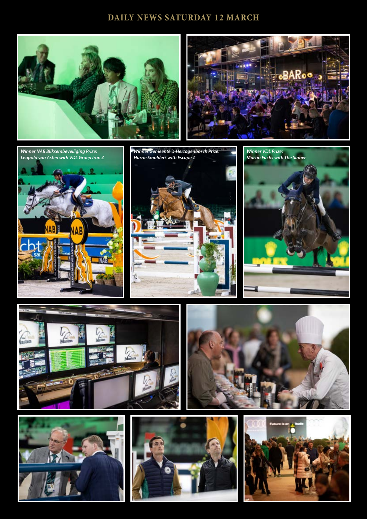#### **DAILY NEWS SATURDAY 12 MARCH**





*Winner NAB Bliksembeveiliging Prize: Leopold van Asten with VDL Groep Iron Z*